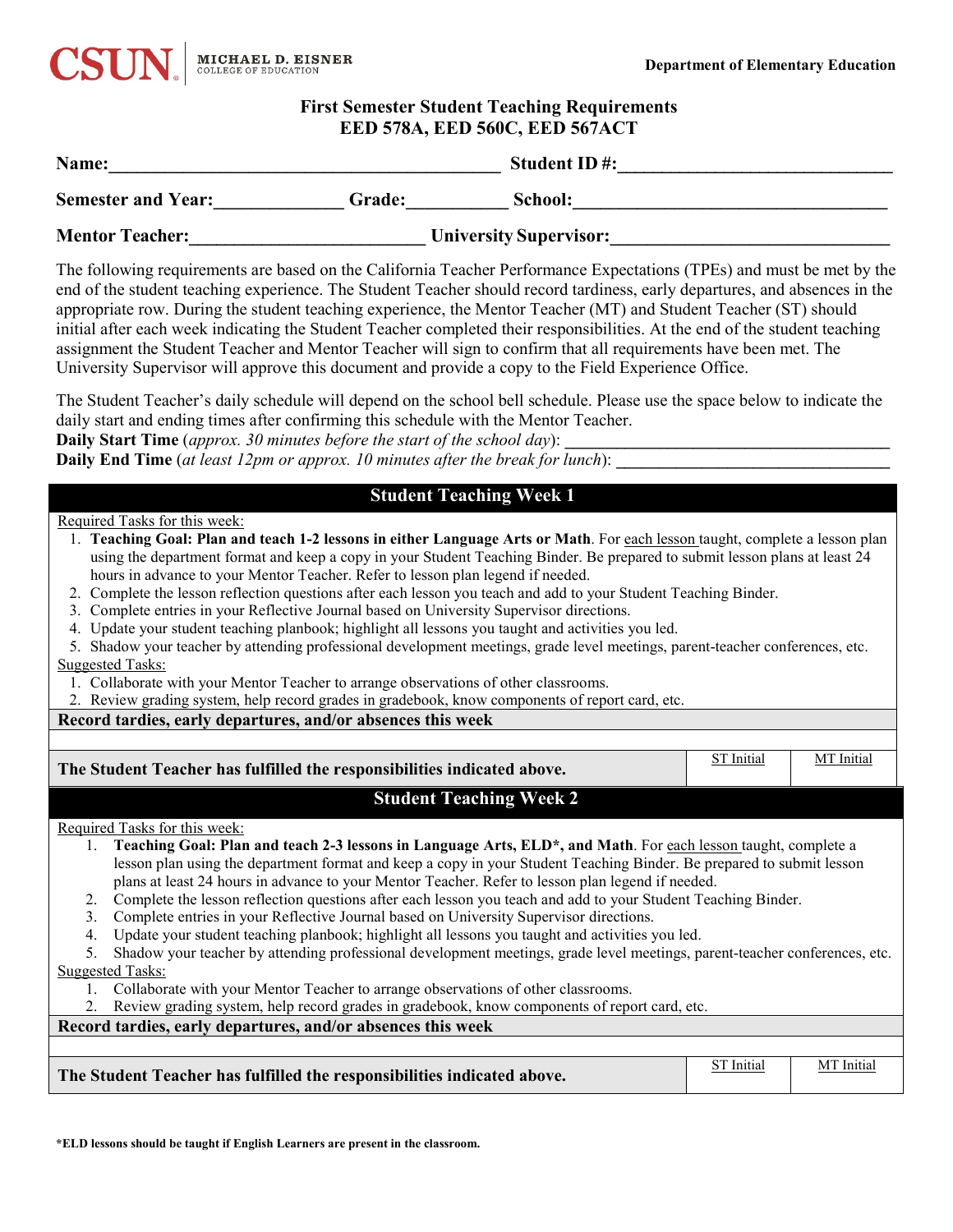

## **First Semester Student Teaching Requirements EED 578A, EED 560C, EED 567ACT**

| Name:                                                                                                                                                                                                                                                                                                       |        | <b>Student ID#:</b>                                                                                                                                                                                                                                                                                                                                                                                                                                                                                                                                                                                                                                                                                                              |  |
|-------------------------------------------------------------------------------------------------------------------------------------------------------------------------------------------------------------------------------------------------------------------------------------------------------------|--------|----------------------------------------------------------------------------------------------------------------------------------------------------------------------------------------------------------------------------------------------------------------------------------------------------------------------------------------------------------------------------------------------------------------------------------------------------------------------------------------------------------------------------------------------------------------------------------------------------------------------------------------------------------------------------------------------------------------------------------|--|
| <b>Semester and Year:</b>                                                                                                                                                                                                                                                                                   | Grade: | School:                                                                                                                                                                                                                                                                                                                                                                                                                                                                                                                                                                                                                                                                                                                          |  |
| <b>Mentor Teacher:</b>                                                                                                                                                                                                                                                                                      |        | <b>University Supervisor:</b>                                                                                                                                                                                                                                                                                                                                                                                                                                                                                                                                                                                                                                                                                                    |  |
|                                                                                                                                                                                                                                                                                                             |        | The following requirements are based on the California Teacher Performance Expectations (TPEs) and must be met by the<br>end of the student teaching experience. The Student Teacher should record tardiness, early departures, and absences in the<br>appropriate row. During the student teaching experience, the Mentor Teacher (MT) and Student Teacher (ST) should<br>initial after each week indicating the Student Teacher completed their responsibilities. At the end of the student teaching<br>assignment the Student Teacher and Mentor Teacher will sign to confirm that all requirements have been met. The<br>University Supervisor will approve this document and provide a copy to the Field Experience Office. |  |
| $\alpha$ and $\alpha$ are all $\alpha$ and $\alpha$ are all $\alpha$ and $\alpha$ are all $\alpha$ and $\alpha$ are all $\alpha$ and $\alpha$ are all $\alpha$ and $\alpha$ are all $\alpha$ and $\alpha$ are all $\alpha$ and $\alpha$ are all $\alpha$ and $\alpha$ are all $\alpha$ and $\alpha$ are all |        | The Student Teacher's daily schedule will depend on the school bell schedule. Please use the space below to indicate the                                                                                                                                                                                                                                                                                                                                                                                                                                                                                                                                                                                                         |  |

daily start and ending times after confirming this schedule with the Mentor Teacher. **Daily Start Time** (*approx.* 30 minutes before the start of the school day):

**Daily End Time** (*at least 12pm or approx. 10 minutes after the break for lunch*):

# **Student Teaching Week 1**

Required Tasks for this week:

- 1. **Teaching Goal: Plan and teach 1-2 lessons in either Language Arts or Math**. For each lesson taught, complete a lesson plan using the department format and keep a copy in your Student Teaching Binder. Be prepared to submit lesson plans at least 24 hours in advance to your Mentor Teacher. Refer to lesson plan legend if needed.
- 2. Complete the lesson reflection questions after each lesson you teach and add to your Student Teaching Binder.
- 3. Complete entries in your Reflective Journal based on University Supervisor directions.
- 4. Update your student teaching planbook; highlight all lessons you taught and activities you led.
- 5. Shadow your teacher by attending professional development meetings, grade level meetings, parent-teacher conferences, etc. Suggested Tasks:
- 1. Collaborate with your Mentor Teacher to arrange observations of other classrooms.
- 2. Review grading system, help record grades in gradebook, know components of report card, etc.

**Record tardies, early departures, and/or absences this week** 

| The Student Teacher has fulfilled the responsibilities indicated above.                                                          | ST Initial | MT Initial |
|----------------------------------------------------------------------------------------------------------------------------------|------------|------------|
| <b>Student Teaching Week 2</b>                                                                                                   |            |            |
| Required Tasks for this week:                                                                                                    |            |            |
| 1. Teaching Goal: Plan and teach 2-3 lessons in Language Arts, ELD*, and Math. For each lesson taught, complete a                |            |            |
| lesson plan using the department format and keep a copy in your Student Teaching Binder. Be prepared to submit lesson            |            |            |
| plans at least 24 hours in advance to your Mentor Teacher. Refer to lesson plan legend if needed.                                |            |            |
| Complete the lesson reflection questions after each lesson you teach and add to your Student Teaching Binder.<br>2.              |            |            |
| Complete entries in your Reflective Journal based on University Supervisor directions.<br>3.                                     |            |            |
| Update your student teaching planbook; highlight all lessons you taught and activities you led.<br>4.                            |            |            |
| Shadow your teacher by attending professional development meetings, grade level meetings, parent-teacher conferences, etc.<br>5. |            |            |
| <b>Suggested Tasks:</b>                                                                                                          |            |            |
| Collaborate with your Mentor Teacher to arrange observations of other classrooms.                                                |            |            |
| Review grading system, help record grades in gradebook, know components of report card, etc.<br>2.                               |            |            |
| Record tardies, early departures, and/or absences this week                                                                      |            |            |
|                                                                                                                                  |            |            |
| The Student Teacher has fulfilled the responsibilities indicated above.                                                          | ST Initial | MT Initia  |

**\*ELD lessons should be taught if English Learners are present in the classroom.**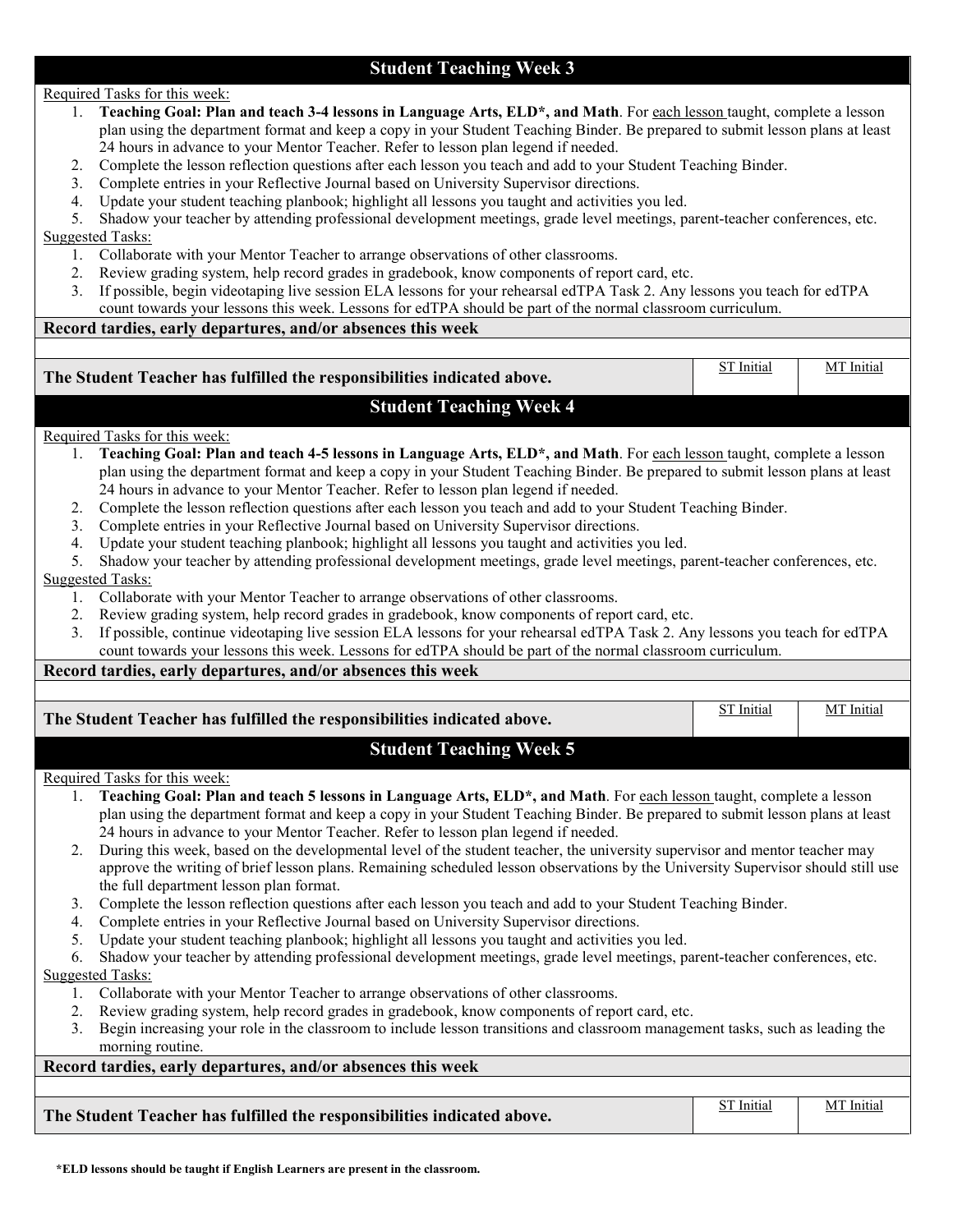## **Student Teaching Week 3**

### Required Tasks for this week:

- 1. **Teaching Goal: Plan and teach 3-4 lessons in Language Arts, ELD\*, and Math**. For each lesson taught, complete a lesson plan using the department format and keep a copy in your Student Teaching Binder. Be prepared to submit lesson plans at least 24 hours in advance to your Mentor Teacher. Refer to lesson plan legend if needed.
- 2. Complete the lesson reflection questions after each lesson you teach and add to your Student Teaching Binder.
- 3. Complete entries in your Reflective Journal based on University Supervisor directions.
- 4. Update your student teaching planbook; highlight all lessons you taught and activities you led.

5. Shadow your teacher by attending professional development meetings, grade level meetings, parent-teacher conferences, etc.

Suggested Tasks:

- 1. Collaborate with your Mentor Teacher to arrange observations of other classrooms.
- 2. Review grading system, help record grades in gradebook, know components of report card, etc.
- 3. If possible, begin videotaping live session ELA lessons for your rehearsal edTPA Task 2. Any lessons you teach for edTPA count towards your lessons this week. Lessons for edTPA should be part of the normal classroom curriculum.

## **Record tardies, early departures, and/or absences this week**

| The Student Teacher has fulfilled the responsibilities indicated above.                                                                                  | <b>ST</b> Initial | MT Initial |
|----------------------------------------------------------------------------------------------------------------------------------------------------------|-------------------|------------|
| <b>Student Teaching Week 4</b>                                                                                                                           |                   |            |
| Required Tasks for this week:                                                                                                                            |                   |            |
| Teaching Goal: Plan and teach 4-5 lessons in Language Arts, ELD*, and Math. For each lesson taught, complete a lesson<br>1.                              |                   |            |
| plan using the department format and keep a copy in your Student Teaching Binder. Be prepared to submit lesson plans at least                            |                   |            |
| 24 hours in advance to your Mentor Teacher. Refer to lesson plan legend if needed.                                                                       |                   |            |
| Complete the lesson reflection questions after each lesson you teach and add to your Student Teaching Binder.<br>2.                                      |                   |            |
| Complete entries in your Reflective Journal based on University Supervisor directions.<br>3.                                                             |                   |            |
| 4. Update your student teaching planbook; highlight all lessons you taught and activities you led.                                                       |                   |            |
| 5. Shadow your teacher by attending professional development meetings, grade level meetings, parent-teacher conferences, etc.                            |                   |            |
| <b>Suggested Tasks:</b><br>1. Collaborate with your Mentor Teacher to arrange observations of other classrooms.                                          |                   |            |
| 2. Review grading system, help record grades in gradebook, know components of report card, etc.                                                          |                   |            |
| 3. If possible, continue videotaping live session ELA lessons for your rehearsal edTPA Task 2. Any lessons you teach for edTPA                           |                   |            |
| count towards your lessons this week. Lessons for edTPA should be part of the normal classroom curriculum.                                               |                   |            |
| Record tardies, early departures, and/or absences this week                                                                                              |                   |            |
|                                                                                                                                                          |                   |            |
| The Student Teacher has fulfilled the responsibilities indicated above.                                                                                  | <b>ST</b> Initial | MT Initial |
|                                                                                                                                                          |                   |            |
| <b>Student Teaching Week 5</b>                                                                                                                           |                   |            |
| Required Tasks for this week:                                                                                                                            |                   |            |
| Teaching Goal: Plan and teach 5 lessons in Language Arts, ELD*, and Math. For each lesson taught, complete a lesson<br>1.                                |                   |            |
| plan using the department format and keep a copy in your Student Teaching Binder. Be prepared to submit lesson plans at least                            |                   |            |
| 24 hours in advance to your Mentor Teacher. Refer to lesson plan legend if needed.                                                                       |                   |            |
| 2. During this week, based on the developmental level of the student teacher, the university supervisor and mentor teacher may                           |                   |            |
| approve the writing of brief lesson plans. Remaining scheduled lesson observations by the University Supervisor should still use                         |                   |            |
| the full department lesson plan format.                                                                                                                  |                   |            |
| Complete the lesson reflection questions after each lesson you teach and add to your Student Teaching Binder.<br>3.                                      |                   |            |
| 4. Complete entries in your Reflective Journal based on University Supervisor directions.                                                                |                   |            |
| Update your student teaching planbook; highlight all lessons you taught and activities you led.<br>5.                                                    |                   |            |
| 6. Shadow your teacher by attending professional development meetings, grade level meetings, parent-teacher conferences, etc.<br><b>Suggested Tasks:</b> |                   |            |
| 1. Collaborate with your Mentor Teacher to arrange observations of other classrooms.                                                                     |                   |            |
| Review grading system, help record grades in gradebook, know components of report card, etc.<br>2.                                                       |                   |            |
| Begin increasing your role in the classroom to include lesson transitions and classroom management tasks, such as leading the<br>3.                      |                   |            |
| morning routine.                                                                                                                                         |                   |            |
| Record tardies, early departures, and/or absences this week                                                                                              |                   |            |
|                                                                                                                                                          |                   |            |
| The Student Teacher has fulfilled the responsibilities indicated above.                                                                                  | <b>ST</b> Initial | MT Initial |
|                                                                                                                                                          |                   |            |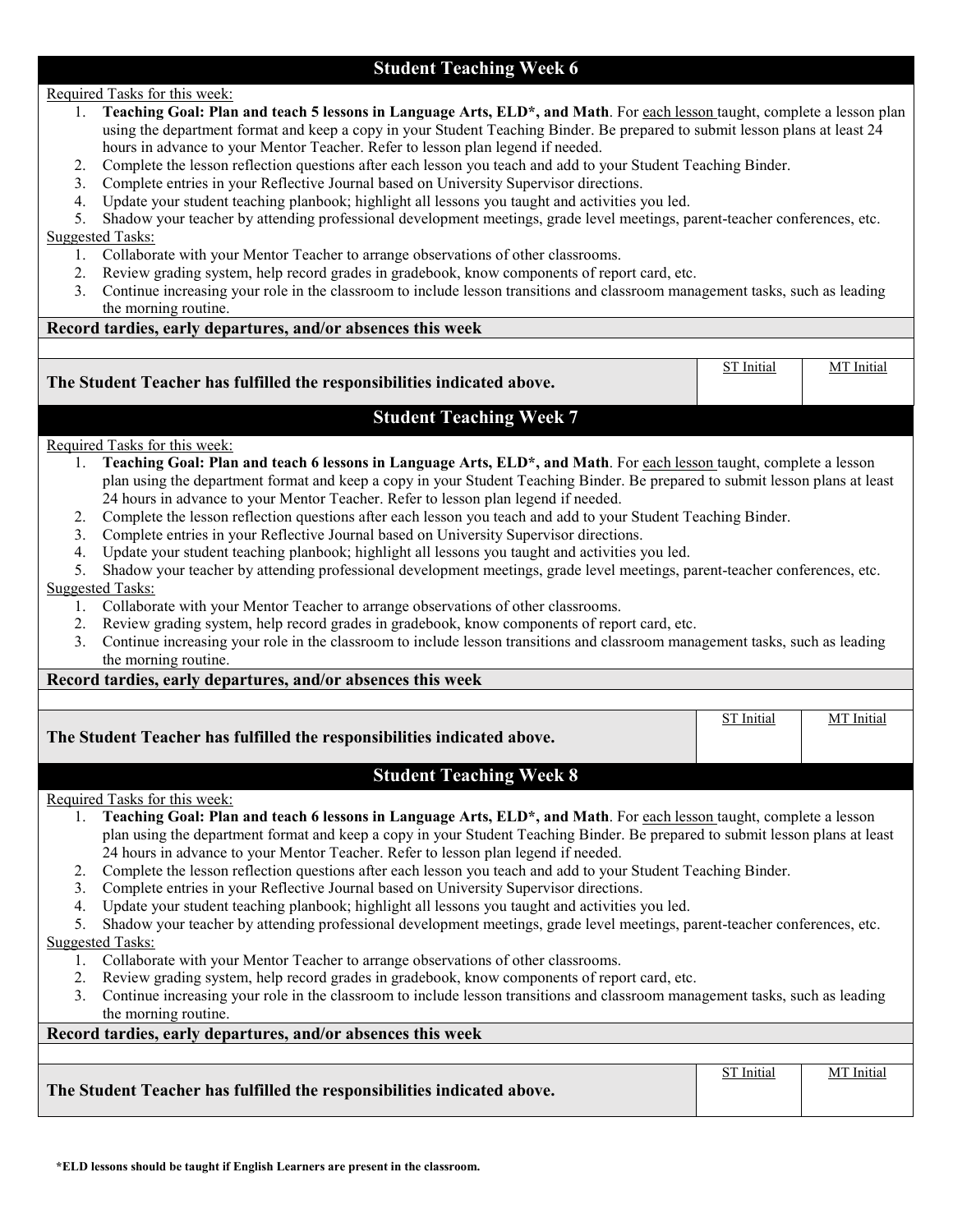# **Student Teaching Week 6**

Required Tasks for this week:

- 1. **Teaching Goal: Plan and teach 5 lessons in Language Arts, ELD\*, and Math**. For each lesson taught, complete a lesson plan using the department format and keep a copy in your Student Teaching Binder. Be prepared to submit lesson plans at least 24 hours in advance to your Mentor Teacher. Refer to lesson plan legend if needed.
- 2. Complete the lesson reflection questions after each lesson you teach and add to your Student Teaching Binder.
- 3. Complete entries in your Reflective Journal based on University Supervisor directions.
- 4. Update your student teaching planbook; highlight all lessons you taught and activities you led.

5. Shadow your teacher by attending professional development meetings, grade level meetings, parent-teacher conferences, etc.

Suggested Tasks:

- 1. Collaborate with your Mentor Teacher to arrange observations of other classrooms.
- 2. Review grading system, help record grades in gradebook, know components of report card, etc.
- 3. Continue increasing your role in the classroom to include lesson transitions and classroom management tasks, such as leading the morning routine.

## **Record tardies, early departures, and/or absences this week**

| The Student Teacher has fulfilled the responsibilities indicated above.                                                       | <b>ST</b> Initial | MT Initial |
|-------------------------------------------------------------------------------------------------------------------------------|-------------------|------------|
| <b>Student Teaching Week 7</b>                                                                                                |                   |            |
| Required Tasks for this week:                                                                                                 |                   |            |
| Teaching Goal: Plan and teach 6 lessons in Language Arts, ELD*, and Math. For each lesson taught, complete a lesson           |                   |            |
| plan using the department format and keep a copy in your Student Teaching Binder. Be prepared to submit lesson plans at least |                   |            |
| 24 hours in advance to your Mentor Teacher. Refer to lesson plan legend if needed.                                            |                   |            |

- 2. Complete the lesson reflection questions after each lesson you teach and add to your Student Teaching Binder.
- 3. Complete entries in your Reflective Journal based on University Supervisor directions.
- 4. Update your student teaching planbook; highlight all lessons you taught and activities you led.
- 5. Shadow your teacher by attending professional development meetings, grade level meetings, parent-teacher conferences, etc.

Suggested Tasks:

- 1. Collaborate with your Mentor Teacher to arrange observations of other classrooms.
- 2. Review grading system, help record grades in gradebook, know components of report card, etc.
- 3. Continue increasing your role in the classroom to include lesson transitions and classroom management tasks, such as leading the morning routine.

### **Record tardies, early departures, and/or absences this week**

ST Initial | MT Initial

# **Student Teaching Week 8**

### Required Tasks for this week:

- 1. **Teaching Goal: Plan and teach 6 lessons in Language Arts, ELD\*, and Math**. For each lesson taught, complete a lesson plan using the department format and keep a copy in your Student Teaching Binder. Be prepared to submit lesson plans at least 24 hours in advance to your Mentor Teacher. Refer to lesson plan legend if needed.
- 2. Complete the lesson reflection questions after each lesson you teach and add to your Student Teaching Binder.
- 3. Complete entries in your Reflective Journal based on University Supervisor directions.
- 4. Update your student teaching planbook; highlight all lessons you taught and activities you led.

5. Shadow your teacher by attending professional development meetings, grade level meetings, parent-teacher conferences, etc. Suggested Tasks:

- 1. Collaborate with your Mentor Teacher to arrange observations of other classrooms.
- 2. Review grading system, help record grades in gradebook, know components of report card, etc.
- 3. Continue increasing your role in the classroom to include lesson transitions and classroom management tasks, such as leading the morning routine.

## **Record tardies, early departures, and/or absences this week**

| <b>ST</b> Initial                                                       | MT Initial |
|-------------------------------------------------------------------------|------------|
| The Student Teacher has fulfilled the responsibilities indicated above. |            |